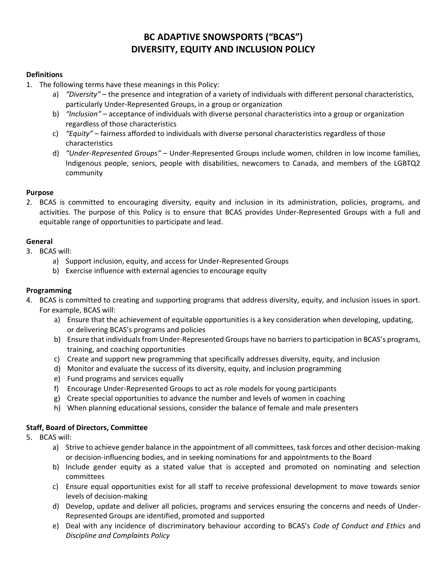# **BC ADAPTIVE SNOWSPORTS ("BCAS") DIVERSITY, EQUITY AND INCLUSION POLICY**

## **Definitions**

- 1. The following terms have these meanings in this Policy:
	- a) *"Diversity"* the presence and integration of a variety of individuals with different personal characteristics, particularly Under-Represented Groups, in a group or organization
	- b) *"Inclusion"*  acceptance of individuals with diverse personal characteristics into a group or organization regardless of those characteristics
	- c) *"Equity"*  fairness afforded to individuals with diverse personal characteristics regardless of those characteristics
	- d) *"Under-Represented Groups"* Under-Represented Groups include women, children in low income families, Indigenous people, seniors, people with disabilities, newcomers to Canada, and members of the LGBTQ2 community

## **Purpose**

2. BCAS is committed to encouraging diversity, equity and inclusion in its administration, policies, programs, and activities. The purpose of this Policy is to ensure that BCAS provides Under-Represented Groups with a full and equitable range of opportunities to participate and lead.

## **General**

- 3. BCAS will:
	- a) Support inclusion, equity, and access for Under-Represented Groups
	- b) Exercise influence with external agencies to encourage equity

## **Programming**

- 4. BCAS is committed to creating and supporting programs that address diversity, equity, and inclusion issues in sport. For example, BCAS will:
	- a) Ensure that the achievement of equitable opportunities is a key consideration when developing, updating, or delivering BCAS's programs and policies
	- b) Ensure that individuals from Under-Represented Groups have no barriers to participation in BCAS's programs, training, and coaching opportunities
	- c) Create and support new programming that specifically addresses diversity, equity, and inclusion
	- d) Monitor and evaluate the success of its diversity, equity, and inclusion programming
	- e) Fund programs and services equally
	- f) Encourage Under-Represented Groups to act as role models for young participants
	- g) Create special opportunities to advance the number and levels of women in coaching
	- h) When planning educational sessions, consider the balance of female and male presenters

# **Staff, Board of Directors, Committee**

- 5. BCAS will:
	- a) Strive to achieve gender balance in the appointment of all committees, task forces and other decision-making or decision-influencing bodies, and in seeking nominations for and appointments to the Board
	- b) Include gender equity as a stated value that is accepted and promoted on nominating and selection committees
	- c) Ensure equal opportunities exist for all staff to receive professional development to move towards senior levels of decision-making
	- d) Develop, update and deliver all policies, programs and services ensuring the concerns and needs of Under-Represented Groups are identified, promoted and supported
	- e) Deal with any incidence of discriminatory behaviour according to BCAS's *Code of Conduct and Ethics* and *Discipline and Complaints Policy*